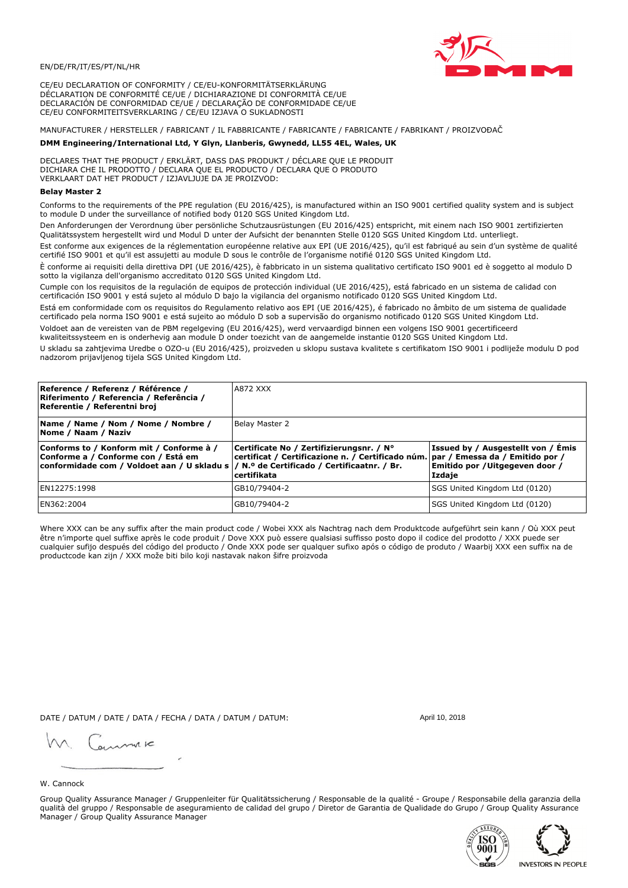

CE/EU DECLARATION OF CONFORMITY / CE/EU-KONFORMITÄTSERKLÄRUNG DÉCLARATION DE CONFORMITÉ CE/UE / DICHIARAZIONE DI CONFORMITÀ CE/UE DECLARACIÓN DE CONFORMIDAD CE/UE / DECLARAÇÃO DE CONFORMIDADE CE/UE CE/EU CONFORMITEITSVERKLARING / CE/EU IZJAVA O SUKLADNOSTI

# MANUFACTURER / HERSTELLER / FABRICANT / IL FABBRICANTE / FABRICANTE / FABRICANTE / FABRIKANT / PROIZVOĐAČ

## DMM Engineering/International Ltd, Y Glyn, Llanberis, Gwynedd, LL55 4EL, Wales, UK

DECLARES THAT THE PRODUCT / ERKLÄRT, DASS DAS PRODUKT / DÉCLARE QUE LE PRODUIT<br>DICHIARA CHE IL PRODOTTO / DECLARA QUE EL PRODUCTO / DECLARA QUE O PRODUTO VERKLAART DAT HET PRODUCT / IZJAVLJUJE DA JE PROIZVOD:

### **Belav Master 2**

Conforms to the requirements of the PPE regulation (EU 2016/425), is manufactured within an ISO 9001 certified quality system and is subject to module D under the surveillance of notified body 0120 SGS United Kingdom Ltd.

Den Anforderungen der Verordnung über persönliche Schutzausrüstungen (EU 2016/425) entspricht, mit einem nach ISO 9001 zertifizierten Qualitätssystem hergestellt wird und Modul D unter der Aufsicht der benannten Stelle 0120 SGS United Kingdom Ltd. unterliegt.

Est conforme aux exigences de la réglementation européenne relative aux EPI (UE 2016/425), qu'il est fabriqué au sein d'un système de qualité certifié ISO 9001 et qu'il est assujetti au module D sous le contrôle de l'organisme notifié 0120 SGS United Kingdom Ltd.

È conforme ai requisiti della direttiva DPI (UE 2016/425), è fabbricato in un sistema qualitativo certificato ISO 9001 ed è soggetto al modulo D sotto la vigilanza dell'organismo accreditato 0120 SGS United Kingdom Ltd.

Cumple con los requisitos de la regulación de equipos de protección individual (UE 2016/425), está fabricado en un sistema de calidad con certificación ISO 9001 y está sujeto al módulo D bajo la vigilancia del organismo notificado 0120 SGS United Kingdom Ltd.

Está em conformidade com os requisitos do Regulamento relativo aos EPI (UE 2016/425), é fabricado no âmbito de um sistema de qualidade certificado pela norma ISO 9001 e está sujeito ao módulo D sob a supervisão do organismo notificado 0120 SGS United Kingdom Ltd. Voldoet aan de vereisten van de PBM regelgeving (EU 2016/425), werd vervaardigd binnen een volgens ISO 9001 gecertificeerd

kwaliteitssysteem en is onderhevig aan module D onder toezicht van de aangemelde instantie 0120 SGS United Kingdom Ltd.

U skladu sa zahtjevima Uredbe o OZO-u (EU 2016/425), proizveden u sklopu sustava kvalitete s certifikatom ISO 9001 i podliježe modulu D pod nadzorom prijavljenog tijela SGS United Kingdom Ltd.

| Reference / Referenz / Référence /<br>Riferimento / Referencia / Referência /<br>Referentie / Referentni broj                                                              | A872 XXX                                                                                                                                     |                                                                                 |
|----------------------------------------------------------------------------------------------------------------------------------------------------------------------------|----------------------------------------------------------------------------------------------------------------------------------------------|---------------------------------------------------------------------------------|
| Name / Name / Nom / Nome / Nombre /<br>Nome / Naam / Naziv                                                                                                                 | Belay Master 2                                                                                                                               |                                                                                 |
| Conforms to / Konform mit / Conforme à /<br>Conforme a / Conforme con / Está em<br>conformidade com / Voldoet aan / U skladu s / N.º de Certificado / Certificaatnr. / Br. | Certificate No / Zertifizierungsnr. / N°<br>certificat / Certificazione n. / Certificado núm. par / Emessa da / Emitido por /<br>certifikata | Issued by / Ausgestellt von / Émis<br>Emitido por / Uitgegeven door /<br>Izdaje |
| EN12275:1998                                                                                                                                                               | GB10/79404-2                                                                                                                                 | SGS United Kingdom Ltd (0120)                                                   |
| EN362:2004                                                                                                                                                                 | GB10/79404-2                                                                                                                                 | SGS United Kingdom Ltd (0120)                                                   |

Where XXX can be any suffix after the main product code / Wobei XXX als Nachtrag nach dem Produktcode aufgeführt sein kann / Où XXX peut être n'importe quel suffixe après le code produit / Dove XXX può essere qualsiasi suffisso posto dopo il codice del prodotto / XXX puede ser cualquier sufijo después del código del producto / Onde XXX pode ser qualquer sufixo após o código de produto / Waarbij XXX een suffix na de productcode kan zijn / XXX može biti bilo koji nastavak nakon šifre proizvoda

DATE / DATUM / DATE / DATA / FECHA / DATA / DATUM / DATUM:

gimmic

April 10, 2018

### W. Cannock

Group Quality Assurance Manager / Gruppenleiter für Qualitätssicherung / Responsable de la qualité - Groupe / Responsabile della garanzia della qualità del gruppo / Responsable de aseguramiento de calidad del grupo / Diretor de Garantia de Qualidade do Grupo / Group Quality Assurance Manager / Group Quality Assurance Manager



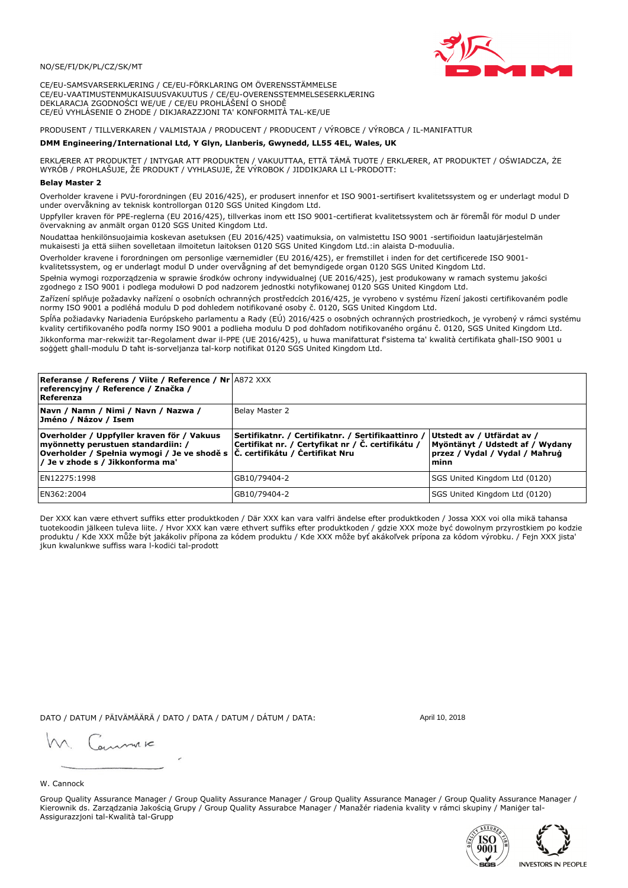## NO/SE/FI/DK/PL/CZ/SK/MT

CE/EU-SAMSVARSERKLÆRING / CE/EU-FÖRKLARING OM ÖVERENSSTÄMMELSE CE/EU-VAATIMUSTENMUKAISUUSVAKUUTUS / CE/EU-OVERENSSTEMMELSESERKLÆRING DEKLARACJA ZGODNOŚCI WE/UE / CE/EU PROHLÁŠENÍ O SHODĚ CE/EÚ VYHLÁSENIE O ZHODE / DIKJARAZZJONI TA' KONFORMITÀ TAL-KE/UE

# PRODUSENT / TILLVERKAREN / VALMISTAJA / PRODUCENT / PRODUCENT / VÝROBCE / VÝROBCA / IL-MANIFATTUR

### DMM Engineering/International Ltd, Y Glyn, Llanberis, Gwynedd, LL55 4EL, Wales, UK

ERKLÆRER AT PRODUKTET / INTYGAR ATT PRODUKTEN / VAKUUTTAA, ETTÄ TÄMÄ TUOTE / ERKLÆRER, AT PRODUKTET / OŚWIADCZA, ŻE<br>WYRÓB / PROHLAŠUJE, ŽE PRODUKT / VYHLASUJE, ŽE VÝROBOK / JIDDIKJARA LI L-PRODOTT:

Overholder kravene i PVU-forordningen (EU 2016/425), er produsert innenfor et ISO 9001-sertifisert kvalitetssystem og er underlagt modul D<br>under overvåkning av teknisk kontrollorgan 0120 SGS United Kingdom Ltd.

Uppfyller kraven för PPE-reglerna (EU 2016/425), tillverkas inom ett ISO 9001-certifierat kvalitetssystem och är föremål för modul D under övervakning av anmält organ 0120 SGS United Kingdom Ltd.

Noudattaa henkilönsuojaimia koskevan asetuksen (EU 2016/425) vaatimuksia, on valmistettu ISO 9001 -sertifioidun laatujärjestelmän mukaisesti ja että siihen sovelletaan ilmoitetun laitoksen 0120 SGS United Kingdom Ltd.:in alaista D-moduulia.

Overholder kravene i forordningen om personlige værnemidler (EU 2016/425), er fremstillet i inden for det certificerede ISO 9001kvalitetssystem, og er underlagt modul D under overvågning af det bemyndigede organ 0120 SGS United Kingdom Ltd.

Spełnia wymogi rozporządzenia w sprawie środków ochrony indywidualnej (UE 2016/425), jest produkowany w ramach systemu jakości zgodnego z ISO 9001 i podlega modułowi D pod nadzorem jednostki notyfikowanej 0120 SGS United Kingdom Ltd.

Zařízení splňuje požadavky nařízení o osobních ochranných prostředcích 2016/425, je vyrobeno v systému řízení jakosti certifikovaném podle normy ISO 9001 a podléhá modulu D pod dohledem notifikované osoby č. 0120, SGS United Kingdom Ltd.

Spĺňa požiadavky Nariadenia Európskeho parlamentu a Rady (EÚ) 2016/425 o osobných ochranných prostriedkoch, je vyrobený v rámci systému kvality certifikovaného podľa normy ISO 9001 a podlieha modulu D pod dohľadom notifikovaného orgánu č. 0120, SGS Únited Kingdom Ltd. Jikkonforma mar-rekwiżit tar-Regolament dwar il-PPE (UE 2016/425), u huwa manifatturat f'sistema ta' kwalità certifikata għall-ISO 9001 u soggett ghall-modulu D taht is-sorveljanza tal-korp notifikat 0120 SGS United Kingdom Ltd.

| <b>Referanse / Referens / Viite / Reference / Nr A872 XXX</b><br>referencyjny / Reference / Značka /<br>Referenza                                                                                                |                                                                                                          |                                                                                                         |
|------------------------------------------------------------------------------------------------------------------------------------------------------------------------------------------------------------------|----------------------------------------------------------------------------------------------------------|---------------------------------------------------------------------------------------------------------|
| Navn / Namn / Nimi / Navn / Nazwa /<br>Jméno / Názov / Isem                                                                                                                                                      | Belay Master 2                                                                                           |                                                                                                         |
| Overholder / Uppfyller kraven för / Vakuus<br>myönnetty perustuen standardiin: /<br>Overholder / Spełnia wymogi / Je ve shodě s $ \tilde{C} $ . certifikátu / Certifikat Nru<br>/ Je v zhode s / Jikkonforma ma' | Sertifikatnr. / Certifikatnr. / Sertifikaattinro /<br> Certifikat nr. / Certyfikat nr / Č. certifikátu / | Utstedt av / Utfärdat av /<br>Myöntänyt / Udstedt af / Wydany<br>przez / Vydal / Vydal / Maħruġ<br>minn |
| EN12275:1998                                                                                                                                                                                                     | GB10/79404-2                                                                                             | SGS United Kingdom Ltd (0120)                                                                           |
| EN362:2004                                                                                                                                                                                                       | GB10/79404-2                                                                                             | SGS United Kingdom Ltd (0120)                                                                           |

Der XXX kan være ethvert suffiks etter produktkoden / Där XXX kan vara valfri ändelse efter produktkoden / Jossa XXX voi olla mikä tahansa tuotekoodin jälkeen tuleva liite. / Hvor XXX kan være ethvert suffiks efter produktkoden / gdzie XXX može być dowolnym przyrostkiem po kodzie<br>produktu / Kde XXX může být jakákoliv přípona za kódem produktu / Kde XXX môže b jkun kwalunkwe suffiss wara l-kodići tal-prodott

DATO / DATUM / PÄIVÄMÄÄRÄ / DATO / DATA / DATUM / DÁTUM / DATA:

April 10, 2018

annuic

## W. Cannock

Group Quality Assurance Manager / Group Quality Assurance Manager / Group Quality Assurance Manager / Group Quality Assurance Manager / Kierownik ds. Zarządzania Jakością Grupy / Group Quality Assurabce Manager / Manažér riadenia kvality v rámci skupiny / Maniger tal-Assigurazzjoni tal-Kwalità tal-Grupp